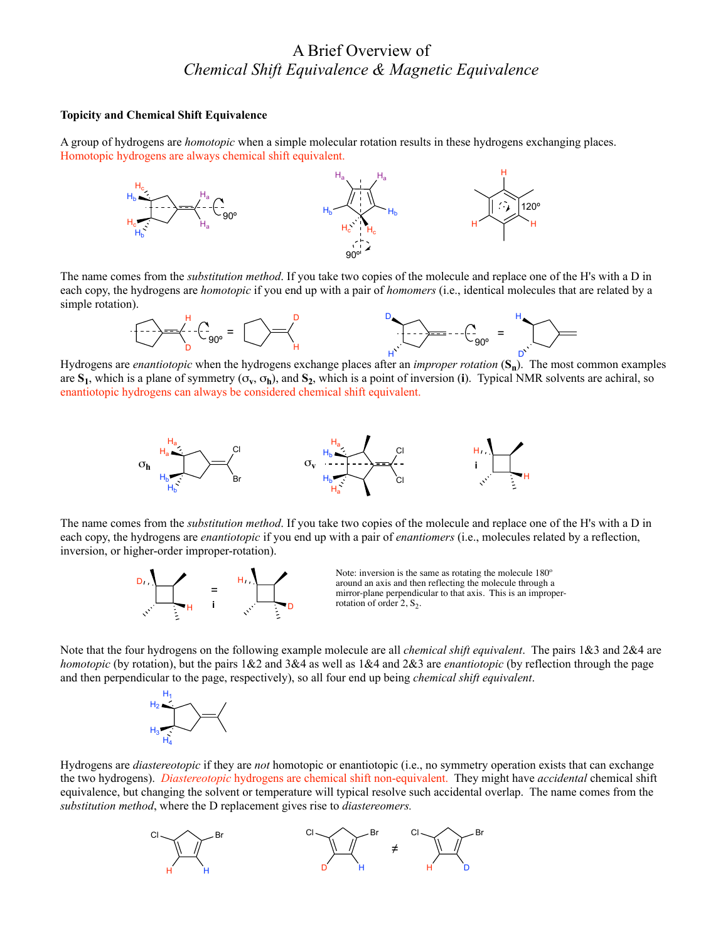## A Brief Overview of *Chemical Shift Equivalence & Magnetic Equivalence*

## **Topicity and Chemical Shift Equivalence**

A group of hydrogens are *homotopic* when a simple molecular rotation results in these hydrogens exchanging places. Homotopic hydrogens are always chemical shift equivalent.



The name comes from the *substitution method*. If you take two copies of the molecule and replace one of the H's with a D in each copy, the hydrogens are *homotopic* if you end up with a pair of *homomers* (i.e., identical molecules that are related by a simple rotation).



Hydrogens are *enantiotopic* when the hydrogens exchange places after an *improper rotation* (**Sn**). The most common examples H D are  $S_1$ , which is a plane of symmetry  $(\sigma_v, \sigma_h)$ , and  $S_2$ , which is a point of inversion (i). Typical NMR solvents are achiral, so enantiotopic hydrogens can always be considered chemical shift equivalent.



The name comes from the *substitution method*. If you take two copies of the molecule and replace one of the H's with a D in each copy, the hydrogens are *enantiotopic* if you end up with a pair of *enantiomers* (i.e., molecules related by a reflection, inversion, or higher-order improper-rotation).



Note: inversion is the same as rotating the molecule 180º around an axis and then reflecting the molecule through a mirror-plane perpendicular to that axis. This is an improperrotation of order  $2, S_2$ .

Note that the four hydrogens on the following example molecule are all *chemical shift equivalent*. The pairs 1&3 and 2&4 are *homotopic* (by rotation), but the pairs 1&2 and 3&4 as well as 1&4 and 2&3 are *enantiotopic* (by reflection through the page and then perpendicular to the page, respectively), so all four end up being *chemical shift equivalent*.



Hydrogens are *diastereotopic* if they are *not* homotopic or enantiotopic (i.e., no symmetry operation exists that can exchange the two hydrogens). *Diastereotopic* hydrogens are chemical shift non-equivalent. They might have *accidental* chemical shift equivalence, but changing the solvent or temperature will typical resolve such accidental overlap. The name comes from the *substitution method*, where the D replacement gives rise to *diastereomers.*

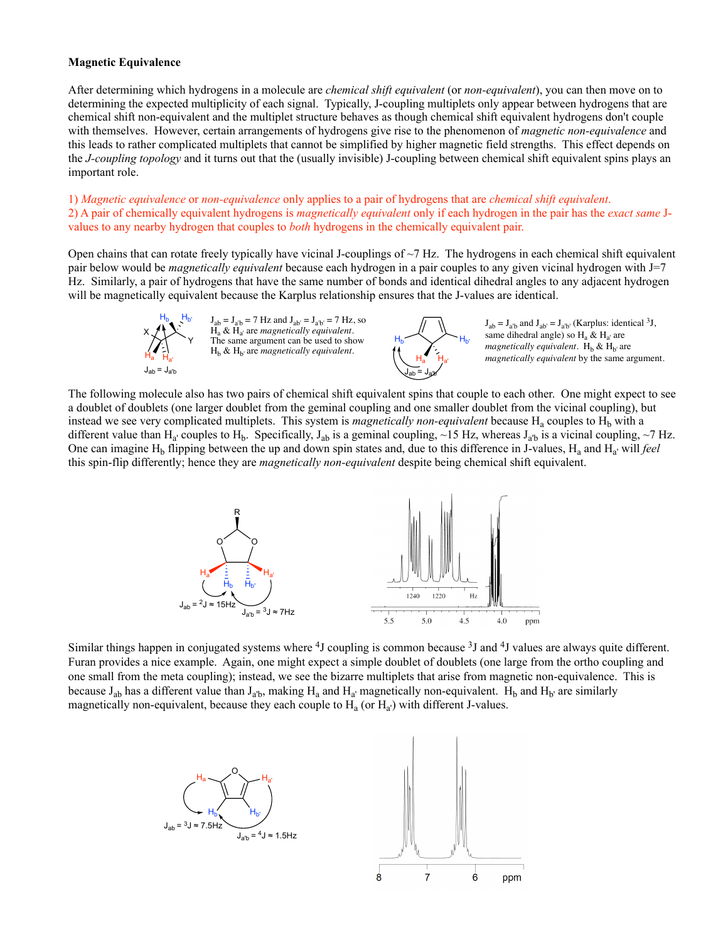## **Magnetic Equivalence**

X

 $H_{\mathsf{a}}$   $H_{\mathsf{a}'}$ 

After determining which hydrogens in a molecule are *chemical shift equivalent* (or *non-equivalent*), you can then move on to determining the expected multiplicity of each signal. Typically, J-coupling multiplets only appear between hydrogens that are chemical shift non-equivalent and the multiplet structure behaves as though chemical shift equivalent hydrogens don't couple with themselves. However, certain arrangements of hydrogens give rise to the phenomenon of *magnetic non-equivalence* and this leads to rather complicated multiplets that cannot be simplified by higher magnetic field strengths. This effect depends on the *J-coupling topology* and it turns out that the (usually invisible) J-coupling between chemical shift equivalent spins plays an important role.

1) *Magnetic equivalence* or *non-equivalence* only applies to a pair of hydrogens that are *chemical shift equivalent*. 2) A pair of chemically equivalent hydrogens is *magnetically equivalent* only if each hydrogen in the pair has the *exact same* Jvalues to any nearby hydrogen that couples to *both* hydrogens in the chemically equivalent pair.

Open chains that can rotate freely typically have vicinal J-couplings of  $\sim$ 7 Hz. The hydrogens in each chemical shift equivalent pair below would be *magnetically equivalent* because each hydrogen in a pair couples to any given vicinal hydrogen with J=7 Hz. Similarly, a pair of hydrogens that have the same number of bonds and identical dihedral angles to any adjacent hydrogen will be magnetically equivalent because the Karplus relationship ensures that the J-values are identical.

> Y  $H_{\rm b}$   $H_{\rm b'}$   $J_{\rm ab} = J_{\rm a'b} = 7$  Hz and  $J_{\rm ab'} = J_{\rm a'b'} = 7$  Hz, so Ha & Ha' are *magnetically equivalent*. The same argument can be used to show  $H<sub>b</sub>$  &  $H<sub>b'</sub>$  are *magnetically equivalent*.  $J_{ab} = J_{a'b}$  J<sub>ab</sub> = J<sub>a'b</sub>



 $J_{ab} = J_{a'b}$  and  $J_{ab'} = J_{a'b'}$  (Karplus: identical <sup>3</sup>J, same dihedral angle) so  $H_a \& H_{a'}$  are *magnetically equivalent*.  $H_b \& H_{b'}$  are *magnetically equivalent* by the same argument.

The following molecule also has two pairs of chemical shift equivalent spins that couple to each other. One might expect to see a doublet of doublets (one larger doublet from the geminal coupling and one smaller doublet from the vicinal coupling), but instead we see very complicated multiplets. This system is *magnetically non-equivalent* because  $H_a$  couples to  $H_b$  with a different value than H<sub>a'</sub> couples to H<sub>b</sub>. Specifically, J<sub>ab</sub> is a geminal coupling, ~15 Hz, whereas J<sub>a'b</sub> is a vicinal coupling, ~7 Hz. One can imagine H<sub>b</sub> flipping between the up and down spin states and, due to this difference in J-values, H<sub>a</sub> and H<sub>a</sub>' will *feel* this spin-flip differently; hence they are *magnetically non-equivalent* despite being chemical shift equivalent.



Similar things happen in conjugated systems where <sup>4</sup>J coupling is common because <sup>3</sup>J and <sup>4</sup>J values are always quite different. Furan provides a nice example. Again, one might expect a simple doublet of doublets (one large from the ortho coupling and one small from the meta coupling); instead, we see the bizarre multiplets that arise from magnetic non-equivalence. This is because  $J_{ab}$  has a different value than  $J_{a'b}$ , making  $H_a$  and  $H_{a'}$  magnetically non-equivalent.  $H_b$  and  $H_{b'}$  are similarly magnetically non-equivalent, because they each couple to  $H_a$  (or  $H_a$ ) with different J-values.